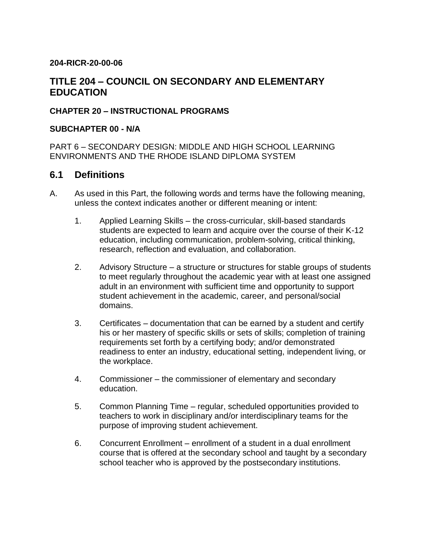#### **204-RICR-20-00-06**

## **TITLE 204 – COUNCIL ON SECONDARY AND ELEMENTARY EDUCATION**

## **CHAPTER 20 – INSTRUCTIONAL PROGRAMS**

#### **SUBCHAPTER 00 - N/A**

PART 6 – SECONDARY DESIGN: MIDDLE AND HIGH SCHOOL LEARNING ENVIRONMENTS AND THE RHODE ISLAND DIPLOMA SYSTEM

## **6.1 Definitions**

- A. As used in this Part, the following words and terms have the following meaning, unless the context indicates another or different meaning or intent:
	- 1. Applied Learning Skills the cross-curricular, skill-based standards students are expected to learn and acquire over the course of their K-12 education, including communication, problem-solving, critical thinking, research, reflection and evaluation, and collaboration.
	- 2. Advisory Structure a structure or structures for stable groups of students to meet regularly throughout the academic year with at least one assigned adult in an environment with sufficient time and opportunity to support student achievement in the academic, career, and personal/social domains.
	- 3. Certificates documentation that can be earned by a student and certify his or her mastery of specific skills or sets of skills; completion of training requirements set forth by a certifying body; and/or demonstrated readiness to enter an industry, educational setting, independent living, or the workplace.
	- 4. Commissioner the commissioner of elementary and secondary education.
	- 5. Common Planning Time regular, scheduled opportunities provided to teachers to work in disciplinary and/or interdisciplinary teams for the purpose of improving student achievement.
	- 6. Concurrent Enrollment enrollment of a student in a dual enrollment course that is offered at the secondary school and taught by a secondary school teacher who is approved by the postsecondary institutions.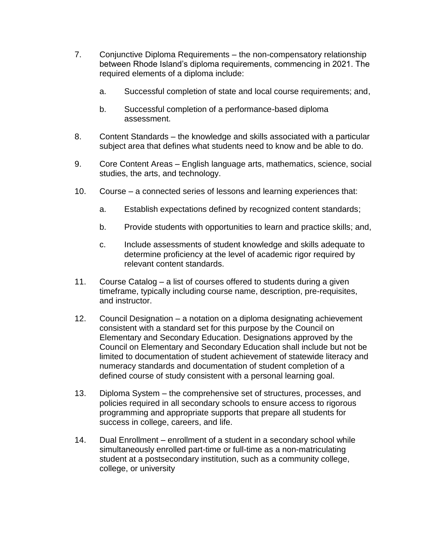- 7. Conjunctive Diploma Requirements the non-compensatory relationship between Rhode Island's diploma requirements, commencing in 2021. The required elements of a diploma include:
	- a. Successful completion of state and local course requirements; and,
	- b. Successful completion of a performance-based diploma assessment.
- 8. Content Standards the knowledge and skills associated with a particular subject area that defines what students need to know and be able to do.
- 9. Core Content Areas English language arts, mathematics, science, social studies, the arts, and technology.
- 10. Course a connected series of lessons and learning experiences that:
	- a. Establish expectations defined by recognized content standards;
	- b. Provide students with opportunities to learn and practice skills; and,
	- c. Include assessments of student knowledge and skills adequate to determine proficiency at the level of academic rigor required by relevant content standards.
- 11. Course Catalog a list of courses offered to students during a given timeframe, typically including course name, description, pre-requisites, and instructor.
- 12. Council Designation a notation on a diploma designating achievement consistent with a standard set for this purpose by the Council on Elementary and Secondary Education. Designations approved by the Council on Elementary and Secondary Education shall include but not be limited to documentation of student achievement of statewide literacy and numeracy standards and documentation of student completion of a defined course of study consistent with a personal learning goal.
- 13. Diploma System the comprehensive set of structures, processes, and policies required in all secondary schools to ensure access to rigorous programming and appropriate supports that prepare all students for success in college, careers, and life.
- 14. Dual Enrollment enrollment of a student in a secondary school while simultaneously enrolled part-time or full-time as a non-matriculating student at a postsecondary institution, such as a community college, college, or university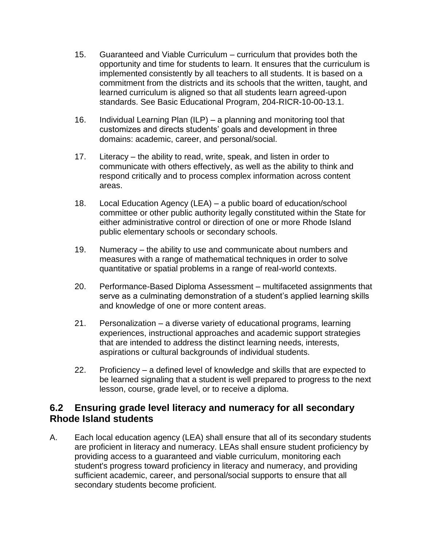- 15. Guaranteed and Viable Curriculum curriculum that provides both the opportunity and time for students to learn. It ensures that the curriculum is implemented consistently by all teachers to all students. It is based on a commitment from the districts and its schools that the written, taught, and learned curriculum is aligned so that all students learn agreed-upon standards. See Basic Educational Program, 204-RICR-10-00-13.1.
- 16. Individual Learning Plan (ILP) a planning and monitoring tool that customizes and directs students' goals and development in three domains: academic, career, and personal/social.
- 17. Literacy the ability to read, write, speak, and listen in order to communicate with others effectively, as well as the ability to think and respond critically and to process complex information across content areas.
- 18. Local Education Agency (LEA) a public board of education/school committee or other public authority legally constituted within the State for either administrative control or direction of one or more Rhode Island public elementary schools or secondary schools.
- 19. Numeracy the ability to use and communicate about numbers and measures with a range of mathematical techniques in order to solve quantitative or spatial problems in a range of real-world contexts.
- 20. Performance-Based Diploma Assessment multifaceted assignments that serve as a culminating demonstration of a student's applied learning skills and knowledge of one or more content areas.
- 21. Personalization a diverse variety of educational programs, learning experiences, instructional approaches and academic support strategies that are intended to address the distinct learning needs, interests, aspirations or cultural backgrounds of individual students.
- 22. Proficiency a defined level of knowledge and skills that are expected to be learned signaling that a student is well prepared to progress to the next lesson, course, grade level, or to receive a diploma.

# **6.2 Ensuring grade level literacy and numeracy for all secondary Rhode Island students**

A. Each local education agency (LEA) shall ensure that all of its secondary students are proficient in literacy and numeracy. LEAs shall ensure student proficiency by providing access to a guaranteed and viable curriculum, monitoring each student's progress toward proficiency in literacy and numeracy, and providing sufficient academic, career, and personal/social supports to ensure that all secondary students become proficient.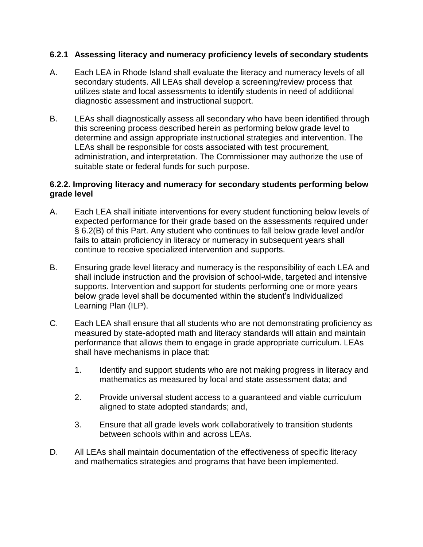## **6.2.1 Assessing literacy and numeracy proficiency levels of secondary students**

- A. Each LEA in Rhode Island shall evaluate the literacy and numeracy levels of all secondary students. All LEAs shall develop a screening/review process that utilizes state and local assessments to identify students in need of additional diagnostic assessment and instructional support.
- B. LEAs shall diagnostically assess all secondary who have been identified through this screening process described herein as performing below grade level to determine and assign appropriate instructional strategies and intervention. The LEAs shall be responsible for costs associated with test procurement, administration, and interpretation. The Commissioner may authorize the use of suitable state or federal funds for such purpose.

## **6.2.2. Improving literacy and numeracy for secondary students performing below grade level**

- A. Each LEA shall initiate interventions for every student functioning below levels of expected performance for their grade based on the assessments required under § 6.2(B) of this Part. Any student who continues to fall below grade level and/or fails to attain proficiency in literacy or numeracy in subsequent years shall continue to receive specialized intervention and supports.
- B. Ensuring grade level literacy and numeracy is the responsibility of each LEA and shall include instruction and the provision of school-wide, targeted and intensive supports. Intervention and support for students performing one or more years below grade level shall be documented within the student's Individualized Learning Plan (ILP).
- C. Each LEA shall ensure that all students who are not demonstrating proficiency as measured by state-adopted math and literacy standards will attain and maintain performance that allows them to engage in grade appropriate curriculum. LEAs shall have mechanisms in place that:
	- 1. Identify and support students who are not making progress in literacy and mathematics as measured by local and state assessment data; and
	- 2. Provide universal student access to a guaranteed and viable curriculum aligned to state adopted standards; and,
	- 3. Ensure that all grade levels work collaboratively to transition students between schools within and across LEAs.
- D. All LEAs shall maintain documentation of the effectiveness of specific literacy and mathematics strategies and programs that have been implemented.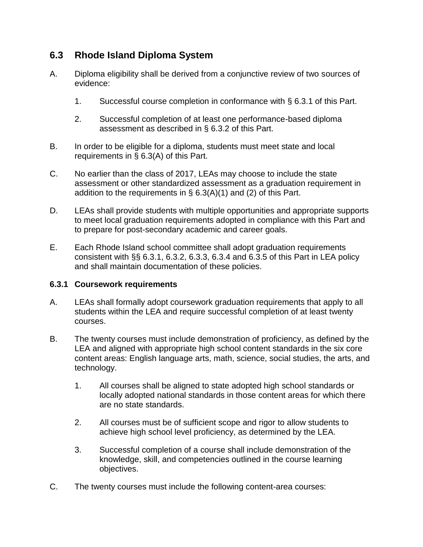# **6.3 Rhode Island Diploma System**

- A. Diploma eligibility shall be derived from a conjunctive review of two sources of evidence:
	- 1. Successful course completion in conformance with § 6.3.1 of this Part.
	- 2. Successful completion of at least one performance-based diploma assessment as described in § 6.3.2 of this Part.
- B. In order to be eligible for a diploma, students must meet state and local requirements in § 6.3(A) of this Part.
- C. No earlier than the class of 2017, LEAs may choose to include the state assessment or other standardized assessment as a graduation requirement in addition to the requirements in  $\S$  6.3(A)(1) and (2) of this Part.
- D. LEAs shall provide students with multiple opportunities and appropriate supports to meet local graduation requirements adopted in compliance with this Part and to prepare for post-secondary academic and career goals.
- E. Each Rhode Island school committee shall adopt graduation requirements consistent with §§ 6.3.1, 6.3.2, 6.3.3, 6.3.4 and 6.3.5 of this Part in LEA policy and shall maintain documentation of these policies.

## **6.3.1 Coursework requirements**

- A. LEAs shall formally adopt coursework graduation requirements that apply to all students within the LEA and require successful completion of at least twenty courses.
- B. The twenty courses must include demonstration of proficiency, as defined by the LEA and aligned with appropriate high school content standards in the six core content areas: English language arts, math, science, social studies, the arts, and technology.
	- 1. All courses shall be aligned to state adopted high school standards or locally adopted national standards in those content areas for which there are no state standards.
	- 2. All courses must be of sufficient scope and rigor to allow students to achieve high school level proficiency, as determined by the LEA.
	- 3. Successful completion of a course shall include demonstration of the knowledge, skill, and competencies outlined in the course learning objectives.
- C. The twenty courses must include the following content-area courses: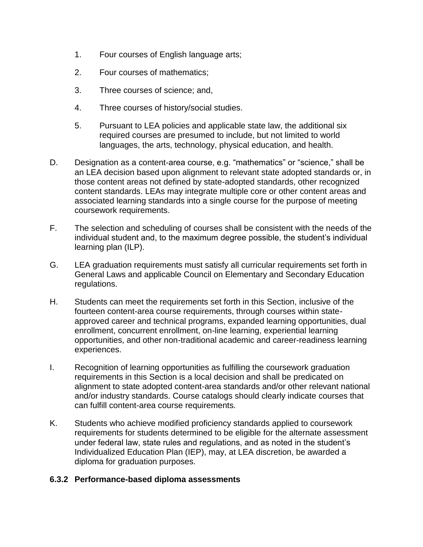- 1. Four courses of English language arts;
- 2. Four courses of mathematics;
- 3. Three courses of science; and,
- 4. Three courses of history/social studies.
- 5. Pursuant to LEA policies and applicable state law, the additional six required courses are presumed to include, but not limited to world languages, the arts, technology, physical education, and health.
- D. Designation as a content-area course, e.g. "mathematics" or "science," shall be an LEA decision based upon alignment to relevant state adopted standards or, in those content areas not defined by state-adopted standards, other recognized content standards. LEAs may integrate multiple core or other content areas and associated learning standards into a single course for the purpose of meeting coursework requirements.
- F. The selection and scheduling of courses shall be consistent with the needs of the individual student and, to the maximum degree possible, the student's individual learning plan (ILP).
- G. LEA graduation requirements must satisfy all curricular requirements set forth in General Laws and applicable Council on Elementary and Secondary Education regulations.
- H. Students can meet the requirements set forth in this Section, inclusive of the fourteen content-area course requirements, through courses within stateapproved career and technical programs, expanded learning opportunities, dual enrollment, concurrent enrollment, on-line learning, experiential learning opportunities, and other non-traditional academic and career-readiness learning experiences.
- I. Recognition of learning opportunities as fulfilling the coursework graduation requirements in this Section is a local decision and shall be predicated on alignment to state adopted content-area standards and/or other relevant national and/or industry standards. Course catalogs should clearly indicate courses that can fulfill content-area course requirements.
- K. Students who achieve modified proficiency standards applied to coursework requirements for students determined to be eligible for the alternate assessment under federal law, state rules and regulations, and as noted in the student's Individualized Education Plan (IEP), may, at LEA discretion, be awarded a diploma for graduation purposes.

#### **6.3.2 Performance-based diploma assessments**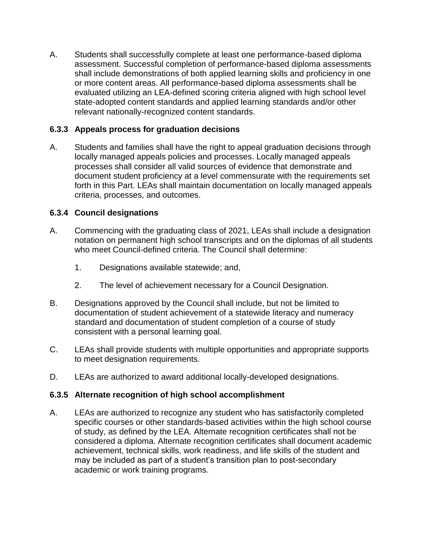A. Students shall successfully complete at least one performance-based diploma assessment. Successful completion of performance-based diploma assessments shall include demonstrations of both applied learning skills and proficiency in one or more content areas. All performance-based diploma assessments shall be evaluated utilizing an LEA-defined scoring criteria aligned with high school level state-adopted content standards and applied learning standards and/or other relevant nationally-recognized content standards.

## **6.3.3 Appeals process for graduation decisions**

A. Students and families shall have the right to appeal graduation decisions through locally managed appeals policies and processes. Locally managed appeals processes shall consider all valid sources of evidence that demonstrate and document student proficiency at a level commensurate with the requirements set forth in this Part. LEAs shall maintain documentation on locally managed appeals criteria, processes, and outcomes.

### **6.3.4 Council designations**

- A. Commencing with the graduating class of 2021, LEAs shall include a designation notation on permanent high school transcripts and on the diplomas of all students who meet Council-defined criteria. The Council shall determine:
	- 1. Designations available statewide; and,
	- 2. The level of achievement necessary for a Council Designation.
- B. Designations approved by the Council shall include, but not be limited to documentation of student achievement of a statewide literacy and numeracy standard and documentation of student completion of a course of study consistent with a personal learning goal.
- C. LEAs shall provide students with multiple opportunities and appropriate supports to meet designation requirements.
- D. LEAs are authorized to award additional locally-developed designations.

## **6.3.5 Alternate recognition of high school accomplishment**

A. LEAs are authorized to recognize any student who has satisfactorily completed specific courses or other standards-based activities within the high school course of study, as defined by the LEA. Alternate recognition certificates shall not be considered a diploma. Alternate recognition certificates shall document academic achievement, technical skills, work readiness, and life skills of the student and may be included as part of a student's transition plan to post-secondary academic or work training programs.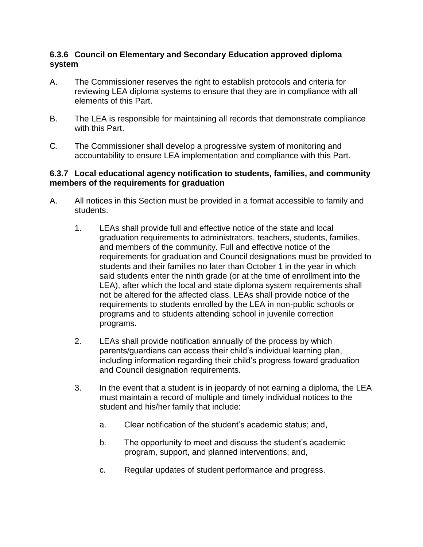#### **6.3.6 Council on Elementary and Secondary Education approved diploma system**

- A. The Commissioner reserves the right to establish protocols and criteria for reviewing LEA diploma systems to ensure that they are in compliance with all elements of this Part.
- B. The LEA is responsible for maintaining all records that demonstrate compliance with this Part.
- C. The Commissioner shall develop a progressive system of monitoring and accountability to ensure LEA implementation and compliance with this Part.

#### **6.3.7 Local educational agency notification to students, families, and community members of the requirements for graduation**

- A. All notices in this Section must be provided in a format accessible to family and students.
	- 1. LEAs shall provide full and effective notice of the state and local graduation requirements to administrators, teachers, students, families, and members of the community. Full and effective notice of the requirements for graduation and Council designations must be provided to students and their families no later than October 1 in the year in which said students enter the ninth grade (or at the time of enrollment into the LEA), after which the local and state diploma system requirements shall not be altered for the affected class. LEAs shall provide notice of the requirements to students enrolled by the LEA in non-public schools or programs and to students attending school in juvenile correction programs.
	- 2. LEAs shall provide notification annually of the process by which parents/guardians can access their child's individual learning plan, including information regarding their child's progress toward graduation and Council designation requirements.
	- 3. In the event that a student is in jeopardy of not earning a diploma, the LEA must maintain a record of multiple and timely individual notices to the student and his/her family that include:
		- a. Clear notification of the student's academic status; and,
		- b. The opportunity to meet and discuss the student's academic program, support, and planned interventions; and,
		- c. Regular updates of student performance and progress.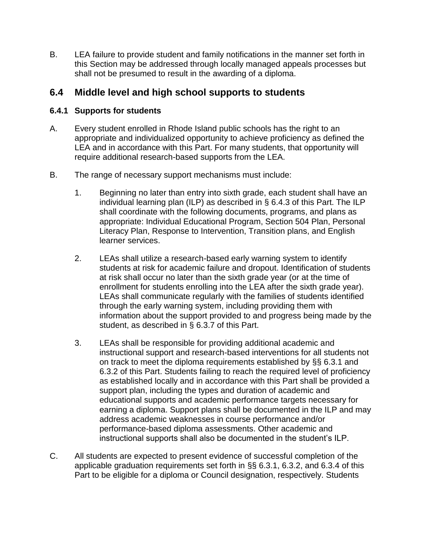B. LEA failure to provide student and family notifications in the manner set forth in this Section may be addressed through locally managed appeals processes but shall not be presumed to result in the awarding of a diploma.

# **6.4 Middle level and high school supports to students**

#### **6.4.1 Supports for students**

- A. Every student enrolled in Rhode Island public schools has the right to an appropriate and individualized opportunity to achieve proficiency as defined the LEA and in accordance with this Part. For many students, that opportunity will require additional research-based supports from the LEA.
- B. The range of necessary support mechanisms must include:
	- 1. Beginning no later than entry into sixth grade, each student shall have an individual learning plan (ILP) as described in § 6.4.3 of this Part. The ILP shall coordinate with the following documents, programs, and plans as appropriate: Individual Educational Program, Section 504 Plan, Personal Literacy Plan, Response to Intervention, Transition plans, and English learner services.
	- 2. LEAs shall utilize a research-based early warning system to identify students at risk for academic failure and dropout. Identification of students at risk shall occur no later than the sixth grade year (or at the time of enrollment for students enrolling into the LEA after the sixth grade year). LEAs shall communicate regularly with the families of students identified through the early warning system, including providing them with information about the support provided to and progress being made by the student, as described in § 6.3.7 of this Part.
	- 3. LEAs shall be responsible for providing additional academic and instructional support and research-based interventions for all students not on track to meet the diploma requirements established by §§ 6.3.1 and 6.3.2 of this Part. Students failing to reach the required level of proficiency as established locally and in accordance with this Part shall be provided a support plan, including the types and duration of academic and educational supports and academic performance targets necessary for earning a diploma. Support plans shall be documented in the ILP and may address academic weaknesses in course performance and/or performance-based diploma assessments. Other academic and instructional supports shall also be documented in the student's ILP.
- C. All students are expected to present evidence of successful completion of the applicable graduation requirements set forth in §§ 6.3.1, 6.3.2, and 6.3.4 of this Part to be eligible for a diploma or Council designation, respectively. Students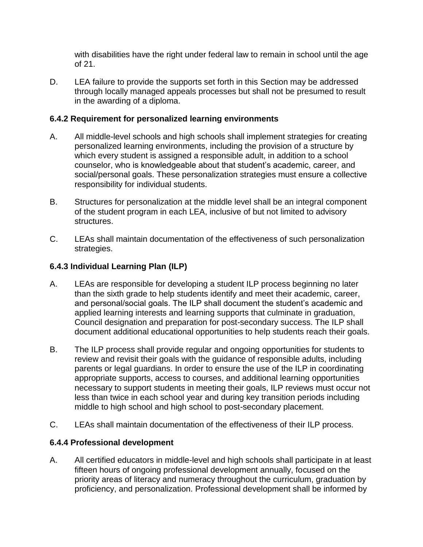with disabilities have the right under federal law to remain in school until the age of 21.

D. LEA failure to provide the supports set forth in this Section may be addressed through locally managed appeals processes but shall not be presumed to result in the awarding of a diploma.

#### **6.4.2 Requirement for personalized learning environments**

- A. All middle-level schools and high schools shall implement strategies for creating personalized learning environments, including the provision of a structure by which every student is assigned a responsible adult, in addition to a school counselor, who is knowledgeable about that student's academic, career, and social/personal goals. These personalization strategies must ensure a collective responsibility for individual students.
- B. Structures for personalization at the middle level shall be an integral component of the student program in each LEA, inclusive of but not limited to advisory structures.
- C. LEAs shall maintain documentation of the effectiveness of such personalization strategies.

## **6.4.3 Individual Learning Plan (ILP)**

- A. LEAs are responsible for developing a student ILP process beginning no later than the sixth grade to help students identify and meet their academic, career, and personal/social goals. The ILP shall document the student's academic and applied learning interests and learning supports that culminate in graduation, Council designation and preparation for post-secondary success. The ILP shall document additional educational opportunities to help students reach their goals.
- B. The ILP process shall provide regular and ongoing opportunities for students to review and revisit their goals with the guidance of responsible adults, including parents or legal guardians. In order to ensure the use of the ILP in coordinating appropriate supports, access to courses, and additional learning opportunities necessary to support students in meeting their goals, ILP reviews must occur not less than twice in each school year and during key transition periods including middle to high school and high school to post-secondary placement.
- C. LEAs shall maintain documentation of the effectiveness of their ILP process.

## **6.4.4 Professional development**

A. All certified educators in middle-level and high schools shall participate in at least fifteen hours of ongoing professional development annually, focused on the priority areas of literacy and numeracy throughout the curriculum, graduation by proficiency, and personalization. Professional development shall be informed by